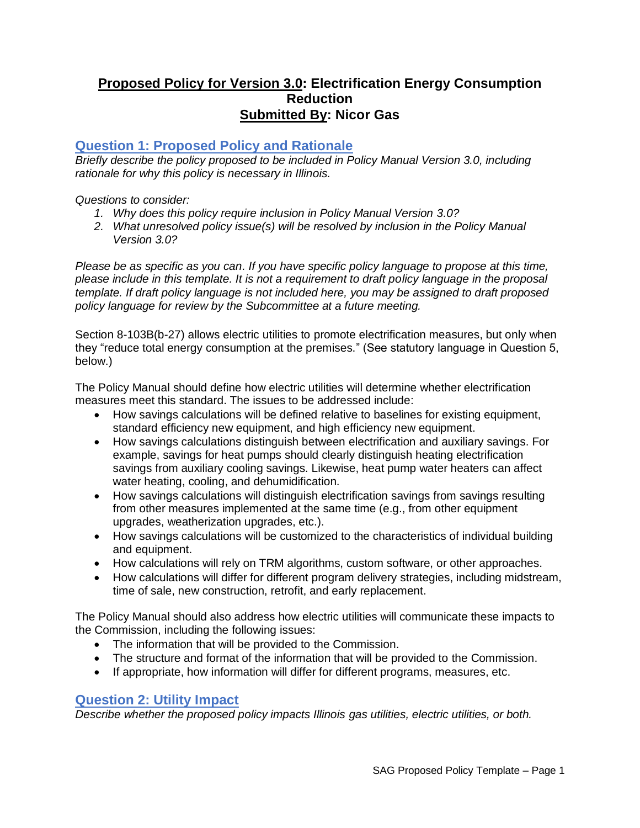# **Proposed Policy for Version 3.0: Electrification Energy Consumption Reduction Submitted By: Nicor Gas**

# **Question 1: Proposed Policy and Rationale**

*Briefly describe the policy proposed to be included in Policy Manual Version 3.0, including rationale for why this policy is necessary in Illinois.* 

### *Questions to consider:*

- *1. Why does this policy require inclusion in Policy Manual Version 3.0?*
- *2. What unresolved policy issue(s) will be resolved by inclusion in the Policy Manual Version 3.0?*

*Please be as specific as you can. If you have specific policy language to propose at this time, please include in this template. It is not a requirement to draft policy language in the proposal template. If draft policy language is not included here, you may be assigned to draft proposed policy language for review by the Subcommittee at a future meeting.*

Section 8-103B(b-27) allows electric utilities to promote electrification measures, but only when they "reduce total energy consumption at the premises." (See statutory language in Question 5, below.)

The Policy Manual should define how electric utilities will determine whether electrification measures meet this standard. The issues to be addressed include:

- How savings calculations will be defined relative to baselines for existing equipment, standard efficiency new equipment, and high efficiency new equipment.
- How savings calculations distinguish between electrification and auxiliary savings. For example, savings for heat pumps should clearly distinguish heating electrification savings from auxiliary cooling savings. Likewise, heat pump water heaters can affect water heating, cooling, and dehumidification.
- How savings calculations will distinguish electrification savings from savings resulting from other measures implemented at the same time (e.g., from other equipment upgrades, weatherization upgrades, etc.).
- How savings calculations will be customized to the characteristics of individual building and equipment.
- How calculations will rely on TRM algorithms, custom software, or other approaches.
- How calculations will differ for different program delivery strategies, including midstream, time of sale, new construction, retrofit, and early replacement.

The Policy Manual should also address how electric utilities will communicate these impacts to the Commission, including the following issues:

- The information that will be provided to the Commission.
- The structure and format of the information that will be provided to the Commission.
- If appropriate, how information will differ for different programs, measures, etc.

## **Question 2: Utility Impact**

*Describe whether the proposed policy impacts Illinois gas utilities, electric utilities, or both.*